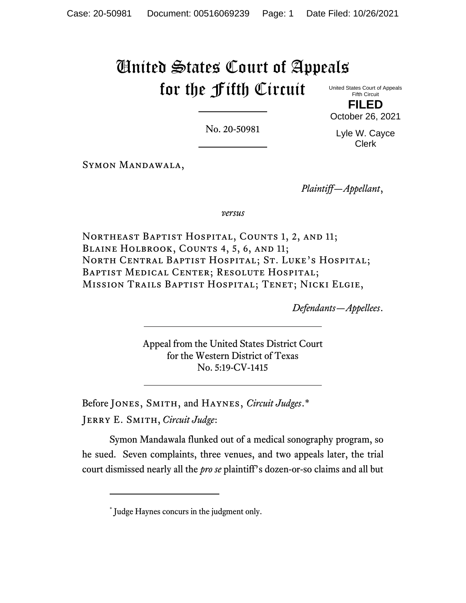# United States Court of Appeals for the Fifth Circuit

United States Court of Appeals Fifth Circuit **FILED**

No. 20-50981

Lyle W. Cayce Clerk

October 26, 2021

Symon Mandawala,

*Plaintiff—Appellant*,

*versus*

NORTHEAST BAPTIST HOSPITAL, COUNTS 1, 2, AND 11; BLAINE HOLBROOK, COUNTS 4, 5, 6, AND 11; North Central Baptist Hospital; St. Luke's Hospital; Baptist Medical Center; Resolute Hospital; Mission Trails Baptist Hospital; Tenet; Nicki Elgie,

*Defendants—Appellees*.

Appeal from the United States District Court for the Western District of Texas No. 5:19-CV-1415

Before JONES, SMITH, and HAYNES, *Circuit Judges*.\*

Jerry E. Smith, *Circuit Judge*:

Symon Mandawala flunked out of a medical sonography program, so he sued. Seven complaints, three venues, and two appeals later, the trial court dismissed nearly all the *pro se* plaintiff's dozen-or-so claims and all but

<sup>\*</sup> Judge Haynes concurs in the judgment only.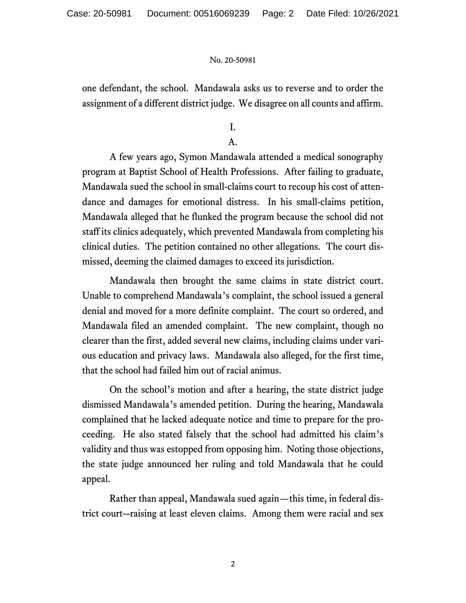one defendant, the school. Mandawala asks us to reverse and to order the assignment of a different district judge. We disagree on all counts and affirm.

I.

## A.

A few years ago, Symon Mandawala attended a medical sonography program at Baptist School of Health Professions. After failing to graduate, Mandawala sued the school in small-claims court to recoup his cost of attendance and damages for emotional distress. In his small-claims petition, Mandawala alleged that he flunked the program because the school did not staff its clinics adequately, which prevented Mandawala from completing his clinical duties. The petition contained no other allegations. The court dismissed, deeming the claimed damages to exceed its jurisdiction.

Mandawala then brought the same claims in state district court. Unable to comprehend Mandawala's complaint, the school issued a general denial and moved for a more definite complaint. The court so ordered, and Mandawala filed an amended complaint. The new complaint, though no clearer than the first, added several new claims, including claims under various education and privacy laws. Mandawala also alleged, for the first time, that the school had failed him out of racial animus.

On the school's motion and after a hearing, the state district judge dismissed Mandawala's amended petition. During the hearing, Mandawala complained that he lacked adequate notice and time to prepare for the proceeding. He also stated falsely that the school had admitted his claim's validity and thus was estopped from opposing him. Noting those objections, the state judge announced her ruling and told Mandawala that he could appeal.

Rather than appeal, Mandawala sued again—this time, in federal district court―raising at least eleven claims. Among them were racial and sex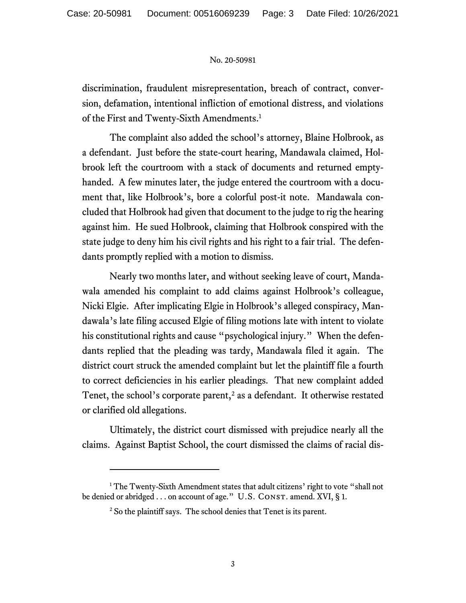discrimination, fraudulent misrepresentation, breach of contract, conversion, defamation, intentional infliction of emotional distress, and violations of the First and Twenty-Sixth Amendments. 1

The complaint also added the school's attorney, Blaine Holbrook, as a defendant. Just before the state-court hearing, Mandawala claimed, Holbrook left the courtroom with a stack of documents and returned emptyhanded. A few minutes later, the judge entered the courtroom with a document that, like Holbrook's, bore a colorful post-it note. Mandawala concluded that Holbrook had given that document to the judge to rig the hearing against him. He sued Holbrook, claiming that Holbrook conspired with the state judge to deny him his civil rights and his right to a fair trial. The defendants promptly replied with a motion to dismiss.

Nearly two months later, and without seeking leave of court, Mandawala amended his complaint to add claims against Holbrook's colleague, Nicki Elgie. After implicating Elgie in Holbrook's alleged conspiracy, Mandawala's late filing accused Elgie of filing motions late with intent to violate his constitutional rights and cause "psychological injury." When the defendants replied that the pleading was tardy, Mandawala filed it again. The district court struck the amended complaint but let the plaintiff file a fourth to correct deficiencies in his earlier pleadings. That new complaint added Tenet, the school's corporate parent,<sup>2</sup> as a defendant. It otherwise restated or clarified old allegations.

Ultimately, the district court dismissed with prejudice nearly all the claims. Against Baptist School, the court dismissed the claims of racial dis-

<sup>&</sup>lt;sup>1</sup> The Twenty-Sixth Amendment states that adult citizens' right to vote "shall not be denied or abridged . . . on account of age." U.S. CONST. amend. XVI, § 1.

<sup>&</sup>lt;sup>2</sup> So the plaintiff says. The school denies that Tenet is its parent.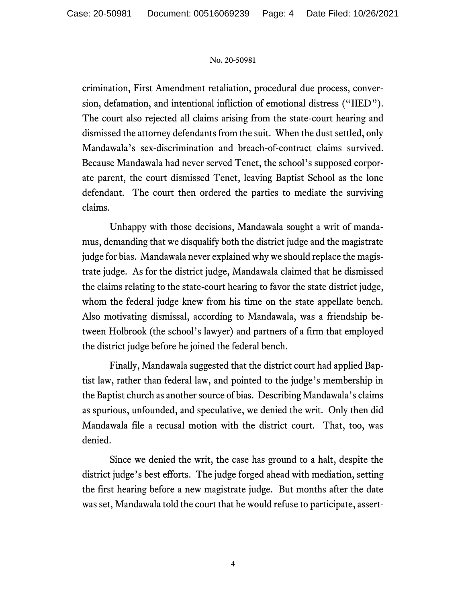crimination, First Amendment retaliation, procedural due process, conversion, defamation, and intentional infliction of emotional distress ("IIED"). The court also rejected all claims arising from the state-court hearing and dismissed the attorney defendants from the suit. When the dust settled, only Mandawala's sex-discrimination and breach-of-contract claims survived. Because Mandawala had never served Tenet, the school's supposed corporate parent, the court dismissed Tenet, leaving Baptist School as the lone defendant. The court then ordered the parties to mediate the surviving claims.

Unhappy with those decisions, Mandawala sought a writ of mandamus, demanding that we disqualify both the district judge and the magistrate judge for bias. Mandawala never explained why we should replace the magistrate judge. As for the district judge, Mandawala claimed that he dismissed the claims relating to the state-court hearing to favor the state district judge, whom the federal judge knew from his time on the state appellate bench. Also motivating dismissal, according to Mandawala, was a friendship between Holbrook (the school's lawyer) and partners of a firm that employed the district judge before he joined the federal bench.

Finally, Mandawala suggested that the district court had applied Baptist law, rather than federal law, and pointed to the judge's membership in the Baptist church as another source of bias. Describing Mandawala's claims as spurious, unfounded, and speculative, we denied the writ. Only then did Mandawala file a recusal motion with the district court. That, too, was denied.

Since we denied the writ, the case has ground to a halt, despite the district judge's best efforts. The judge forged ahead with mediation, setting the first hearing before a new magistrate judge. But months after the date was set, Mandawala told the court that he would refuse to participate, assert-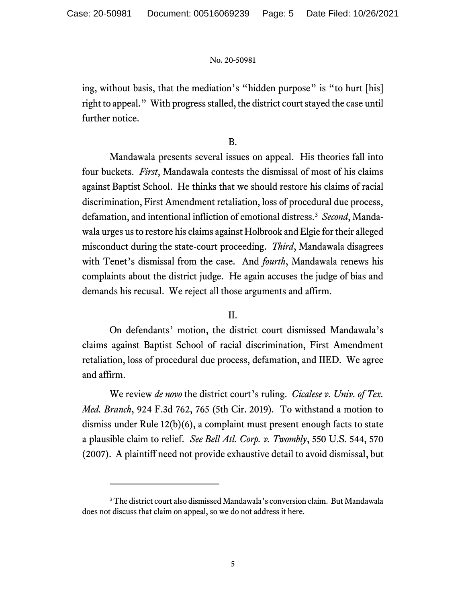ing, without basis, that the mediation's "hidden purpose" is "to hurt [his] right to appeal." With progress stalled, the district court stayed the case until further notice.

## B.

Mandawala presents several issues on appeal. His theories fall into four buckets. *First*, Mandawala contests the dismissal of most of his claims against Baptist School. He thinks that we should restore his claims of racial discrimination, First Amendment retaliation, loss of procedural due process, defamation, and intentional infliction of emotional distress.<sup>3</sup> *Second*, Mandawala urges us to restore his claims against Holbrook and Elgie for their alleged misconduct during the state-court proceeding. *Third*, Mandawala disagrees with Tenet's dismissal from the case. And *fourth*, Mandawala renews his complaints about the district judge. He again accuses the judge of bias and demands his recusal. We reject all those arguments and affirm.

## II.

On defendants' motion, the district court dismissed Mandawala's claims against Baptist School of racial discrimination, First Amendment retaliation, loss of procedural due process, defamation, and IIED. We agree and affirm.

We review *de novo* the district court's ruling. *Cicalese v. Univ. of Tex. Med. Branch*, 924 F.3d 762, 765 (5th Cir. 2019). To withstand a motion to dismiss under Rule 12(b)(6), a complaint must present enough facts to state a plausible claim to relief. *See Bell Atl. Corp. v. Twombly*, 550 U.S. 544, 570 (2007). A plaintiff need not provide exhaustive detail to avoid dismissal, but

<sup>3</sup> The district court also dismissed Mandawala's conversion claim. But Mandawala does not discuss that claim on appeal, so we do not address it here.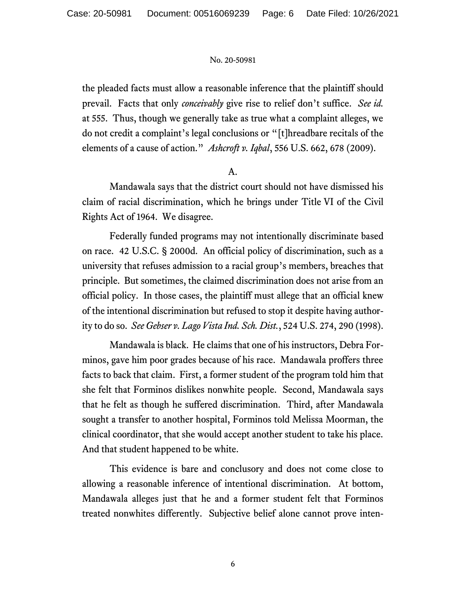the pleaded facts must allow a reasonable inference that the plaintiff should prevail. Facts that only *conceivably* give rise to relief don't suffice. *See id.* at 555. Thus, though we generally take as true what a complaint alleges, we do not credit a complaint's legal conclusions or "[t]hreadbare recitals of the elements of a cause of action." *Ashcroft v. Iqbal*, 556 U.S. 662, 678 (2009).

## A.

Mandawala says that the district court should not have dismissed his claim of racial discrimination, which he brings under Title VI of the Civil Rights Act of 1964. We disagree.

Federally funded programs may not intentionally discriminate based on race. 42 U.S.C. § 2000d. An official policy of discrimination, such as a university that refuses admission to a racial group's members, breaches that principle. But sometimes, the claimed discrimination does not arise from an official policy. In those cases, the plaintiff must allege that an official knew of the intentional discrimination but refused to stop it despite having authority to do so. *See Gebser v. Lago Vista Ind. Sch. Dist.*, 524 U.S. 274, 290 (1998).

Mandawala is black. He claims that one of his instructors, Debra Forminos, gave him poor grades because of his race. Mandawala proffers three facts to back that claim. First, a former student of the program told him that she felt that Forminos dislikes nonwhite people. Second, Mandawala says that he felt as though he suffered discrimination. Third, after Mandawala sought a transfer to another hospital, Forminos told Melissa Moorman, the clinical coordinator, that she would accept another student to take his place. And that student happened to be white.

This evidence is bare and conclusory and does not come close to allowing a reasonable inference of intentional discrimination. At bottom, Mandawala alleges just that he and a former student felt that Forminos treated nonwhites differently. Subjective belief alone cannot prove inten-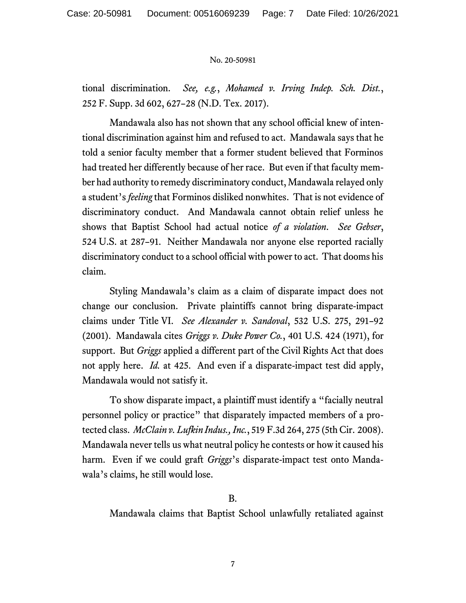tional discrimination. *See, e.g.*, *Mohamed v. Irving Indep. Sch. Dist.*, 252 F. Supp. 3d 602, 627–28 (N.D. Tex. 2017).

Mandawala also has not shown that any school official knew of intentional discrimination against him and refused to act. Mandawala says that he told a senior faculty member that a former student believed that Forminos had treated her differently because of her race. But even if that faculty member had authority to remedy discriminatory conduct, Mandawala relayed only a student's *feeling* that Forminos disliked nonwhites. That is not evidence of discriminatory conduct. And Mandawala cannot obtain relief unless he shows that Baptist School had actual notice *of a violation*. *See Gebser*, 524 U.S. at 287–91. Neither Mandawala nor anyone else reported racially discriminatory conduct to a school official with power to act. That dooms his claim.

Styling Mandawala's claim as a claim of disparate impact does not change our conclusion. Private plaintiffs cannot bring disparate-impact claims under Title VI. *See Alexander v. Sandoval*, 532 U.S. 275, 291–92 (2001). Mandawala cites *Griggs v. Duke Power Co.*, 401 U.S. 424 (1971), for support. But *Griggs* applied a different part of the Civil Rights Act that does not apply here. *Id.* at 425. And even if a disparate-impact test did apply, Mandawala would not satisfy it.

To show disparate impact, a plaintiff must identify a "facially neutral personnel policy or practice" that disparately impacted members of a protected class. *McClain v. Lufkin Indus., Inc.*, 519 F.3d 264, 275 (5th Cir. 2008). Mandawala never tells us what neutral policy he contests or how it caused his harm. Even if we could graft *Griggs*'s disparate-impact test onto Mandawala's claims, he still would lose.

B.

Mandawala claims that Baptist School unlawfully retaliated against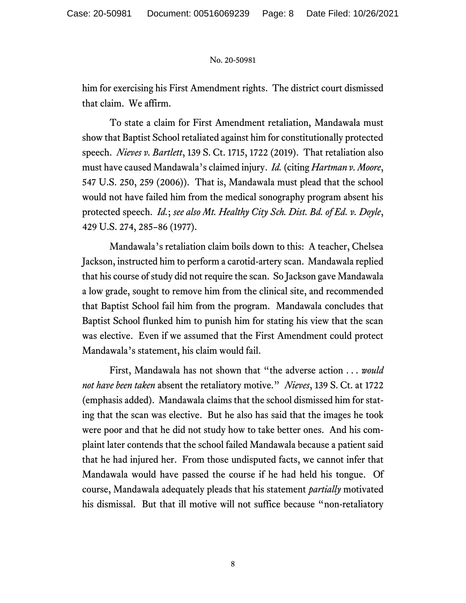him for exercising his First Amendment rights. The district court dismissed that claim. We affirm.

To state a claim for First Amendment retaliation, Mandawala must show that Baptist School retaliated against him for constitutionally protected speech. *Nieves v. Bartlett*, 139 S. Ct. 1715, 1722 (2019). That retaliation also must have caused Mandawala's claimed injury. *Id.* (citing *Hartman v. Moore*, 547 U.S. 250, 259 (2006)). That is, Mandawala must plead that the school would not have failed him from the medical sonography program absent his protected speech. *Id.*; *see also Mt. Healthy City Sch. Dist. Bd. of Ed. v. Doyle*, 429 U.S. 274, 285–86 (1977).

Mandawala's retaliation claim boils down to this: A teacher, Chelsea Jackson, instructed him to perform a carotid-artery scan. Mandawala replied that his course of study did not require the scan. So Jackson gave Mandawala a low grade, sought to remove him from the clinical site, and recommended that Baptist School fail him from the program. Mandawala concludes that Baptist School flunked him to punish him for stating his view that the scan was elective. Even if we assumed that the First Amendment could protect Mandawala's statement, his claim would fail.

First, Mandawala has not shown that "the adverse action . . . *would not have been taken* absent the retaliatory motive." *Nieves*, 139 S. Ct. at 1722 (emphasis added). Mandawala claims that the school dismissed him for stating that the scan was elective. But he also has said that the images he took were poor and that he did not study how to take better ones. And his complaint later contends that the school failed Mandawala because a patient said that he had injured her. From those undisputed facts, we cannot infer that Mandawala would have passed the course if he had held his tongue. Of course, Mandawala adequately pleads that his statement *partially* motivated his dismissal. But that ill motive will not suffice because "non-retaliatory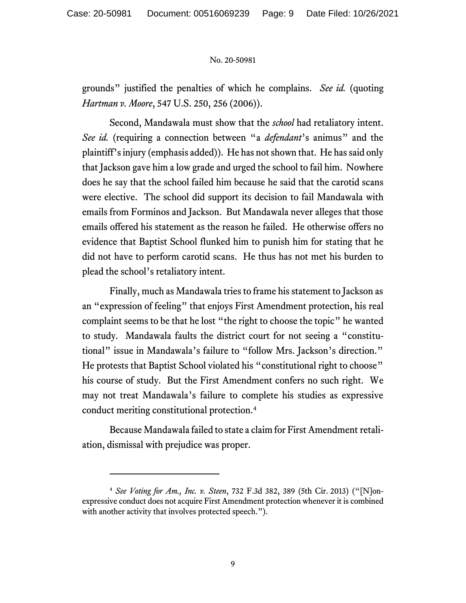grounds" justified the penalties of which he complains. *See id.* (quoting *Hartman v. Moore*, 547 U.S. 250, 256 (2006)).

Second, Mandawala must show that the *school* had retaliatory intent. *See id.* (requiring a connection between "a *defendant*'s animus" and the plaintiff's injury (emphasis added)). He has not shown that. He has said only that Jackson gave him a low grade and urged the school to fail him. Nowhere does he say that the school failed him because he said that the carotid scans were elective. The school did support its decision to fail Mandawala with emails from Forminos and Jackson. But Mandawala never alleges that those emails offered his statement as the reason he failed. He otherwise offers no evidence that Baptist School flunked him to punish him for stating that he did not have to perform carotid scans. He thus has not met his burden to plead the school's retaliatory intent.

Finally, much as Mandawala tries to frame his statement to Jackson as an "expression of feeling" that enjoys First Amendment protection, his real complaint seems to be that he lost "the right to choose the topic" he wanted to study. Mandawala faults the district court for not seeing a "constitutional" issue in Mandawala's failure to "follow Mrs. Jackson's direction." He protests that Baptist School violated his "constitutional right to choose" his course of study. But the First Amendment confers no such right. We may not treat Mandawala's failure to complete his studies as expressive conduct meriting constitutional protection. 4

Because Mandawala failed to state a claim for First Amendment retaliation, dismissal with prejudice was proper.

<sup>4</sup> *See Voting for Am., Inc. v. Steen*, 732 F.3d 382, 389 (5th Cir. 2013) ("[N]onexpressive conduct does not acquire First Amendment protection whenever it is combined with another activity that involves protected speech.").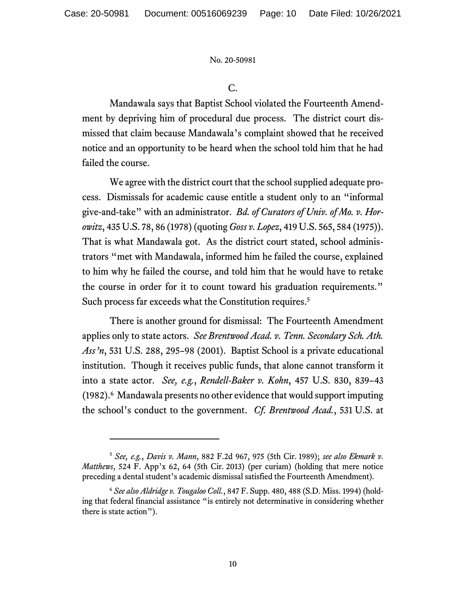## C.

Mandawala says that Baptist School violated the Fourteenth Amendment by depriving him of procedural due process. The district court dismissed that claim because Mandawala's complaint showed that he received notice and an opportunity to be heard when the school told him that he had failed the course.

We agree with the district court that the school supplied adequate process. Dismissals for academic cause entitle a student only to an "informal give-and-take" with an administrator. *Bd. of Curators of Univ. of Mo. v. Horowitz*, 435 U.S. 78, 86 (1978)(quoting *Goss v. Lopez*, 419 U.S. 565, 584 (1975)). That is what Mandawala got. As the district court stated, school administrators "met with Mandawala, informed him he failed the course, explained to him why he failed the course, and told him that he would have to retake the course in order for it to count toward his graduation requirements." Such process far exceeds what the Constitution requires. 5

There is another ground for dismissal: The Fourteenth Amendment applies only to state actors. *See Brentwood Acad. v. Tenn. Secondary Sch. Ath. Ass'n*, 531 U.S. 288, 295–98 (2001). Baptist School is a private educational institution. Though it receives public funds, that alone cannot transform it into a state actor. *See, e.g.*, *Rendell-Baker v. Kohn*, 457 U.S. 830, 839–43 (1982). 6 Mandawala presents no other evidence that would support imputing the school's conduct to the government. *Cf. Brentwood Acad.*, 531 U.S. at

<sup>5</sup> *See, e.g.*, *Davis v. Mann*, 882 F.2d 967, 975 (5th Cir. 1989); *see also Ekmark v. Matthews*, 524 F. App'x 62, 64 (5th Cir. 2013) (per curiam) (holding that mere notice preceding a dental student's academic dismissal satisfied the Fourteenth Amendment).

<sup>6</sup> *See also Aldridge v. Tougaloo Coll.*, 847 F. Supp. 480, 488 (S.D. Miss. 1994) (holding that federal financial assistance "is entirely not determinative in considering whether there is state action").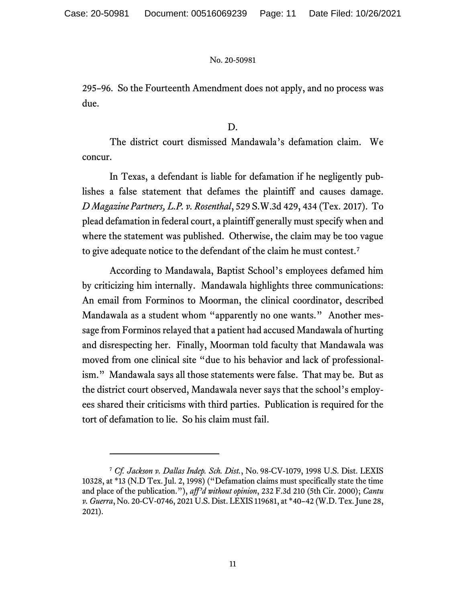295–96. So the Fourteenth Amendment does not apply, and no process was due.

## D.

The district court dismissed Mandawala's defamation claim. We concur.

In Texas, a defendant is liable for defamation if he negligently publishes a false statement that defames the plaintiff and causes damage. *D Magazine Partners, L.P. v. Rosenthal*, 529 S.W.3d 429, 434 (Tex. 2017). To plead defamation in federal court, a plaintiff generally must specify when and where the statement was published. Otherwise, the claim may be too vague to give adequate notice to the defendant of the claim he must contest.<sup>7</sup>

According to Mandawala, Baptist School's employees defamed him by criticizing him internally. Mandawala highlights three communications: An email from Forminos to Moorman, the clinical coordinator, described Mandawala as a student whom "apparently no one wants." Another message from Forminos relayed that a patient had accused Mandawala of hurting and disrespecting her. Finally, Moorman told faculty that Mandawala was moved from one clinical site "due to his behavior and lack of professionalism." Mandawala says all those statements were false. That may be. But as the district court observed, Mandawala never says that the school's employees shared their criticisms with third parties. Publication is required for the tort of defamation to lie. So his claim must fail.

<sup>7</sup> *Cf. Jackson v. Dallas Indep. Sch. Dist.*, No. 98-CV-1079, 1998 U.S. Dist. LEXIS 10328, at \*13 (N.D Tex. Jul. 2, 1998) ("Defamation claims must specifically state the time and place of the publication."), *aff'd without opinion*, 232 F.3d 210 (5th Cir. 2000); *Cantu v. Guerra*, No. 20-CV-0746, 2021 U.S. Dist. LEXIS 119681, at \*40–42 (W.D. Tex. June 28, 2021).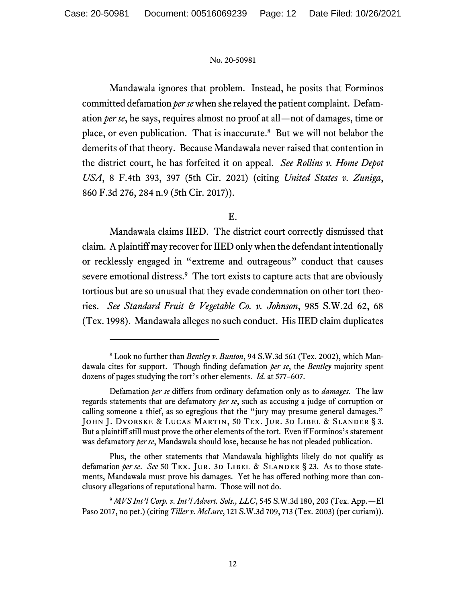Mandawala ignores that problem. Instead, he posits that Forminos committed defamation *per se*when she relayed the patient complaint. Defamation *per se*, he says, requires almost no proof at all—not of damages, time or place, or even publication. That is inaccurate. 8 But we will not belabor the demerits of that theory. Because Mandawala never raised that contention in the district court, he has forfeited it on appeal. *See Rollins v. Home Depot USA*, 8 F.4th 393, 397 (5th Cir. 2021) (citing *United States v. Zuniga*, 860 F.3d 276, 284 n.9 (5th Cir. 2017)).

## E.

Mandawala claims IIED. The district court correctly dismissed that claim. A plaintiff may recover for IIED only when the defendant intentionally or recklessly engaged in "extreme and outrageous" conduct that causes severe emotional distress.<sup>9</sup> The tort exists to capture acts that are obviously tortious but are so unusual that they evade condemnation on other tort theories. *See Standard Fruit & Vegetable Co. v. Johnson*, 985 S.W.2d 62, 68 (Tex. 1998). Mandawala alleges no such conduct. His IIED claim duplicates

Plus, the other statements that Mandawala highlights likely do not qualify as defamation *per se. See* 50 TEX. JUR. 3D LIBEL & SLANDER § 23. As to those statements, Mandawala must prove his damages. Yet he has offered nothing more than conclusory allegations of reputational harm. Those will not do.

<sup>8</sup> Look no further than *Bentley v. Bunton*, 94 S.W.3d 561 (Tex. 2002), which Mandawala cites for support. Though finding defamation *per se*, the *Bentley* majority spent dozens of pages studying the tort's other elements. *Id.* at 577–607.

Defamation *per se* differs from ordinary defamation only as to *damages*. The law regards statements that are defamatory *per se*, such as accusing a judge of corruption or calling someone a thief, as so egregious that the "jury may presume general damages." John J. Dvorske & Lucas Martin, 50 Tex. Jur. 3d Libel & Slander § 3. But a plaintiff still must prove the other elements of the tort. Even if Forminos's statement was defamatory *per se*, Mandawala should lose, because he has not pleaded publication.

<sup>9</sup> *MVS Int'l Corp. v. Int'l Advert. Sols., LLC*, 545 S.W.3d 180, 203 (Tex. App.—El Paso 2017, no pet.) (citing *Tiller v. McLure*, 121 S.W.3d 709, 713 (Tex. 2003) (per curiam)).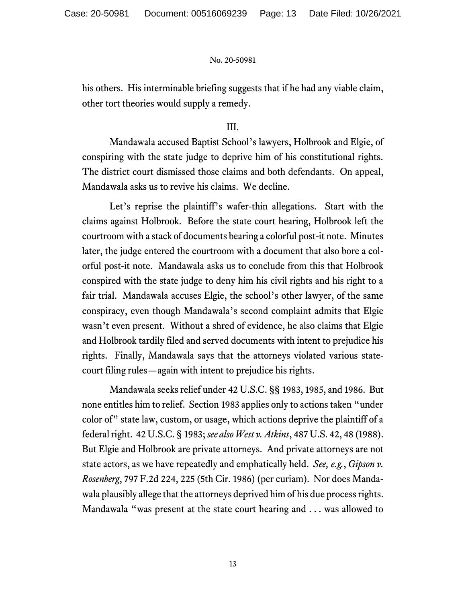his others. His interminable briefing suggests that if he had any viable claim, other tort theories would supply a remedy.

## III.

Mandawala accused Baptist School's lawyers, Holbrook and Elgie, of conspiring with the state judge to deprive him of his constitutional rights. The district court dismissed those claims and both defendants. On appeal, Mandawala asks us to revive his claims. We decline.

Let's reprise the plaintiff's wafer-thin allegations. Start with the claims against Holbrook. Before the state court hearing, Holbrook left the courtroom with a stack of documents bearing a colorful post-it note. Minutes later, the judge entered the courtroom with a document that also bore a colorful post-it note. Mandawala asks us to conclude from this that Holbrook conspired with the state judge to deny him his civil rights and his right to a fair trial. Mandawala accuses Elgie, the school's other lawyer, of the same conspiracy, even though Mandawala's second complaint admits that Elgie wasn't even present. Without a shred of evidence, he also claims that Elgie and Holbrook tardily filed and served documents with intent to prejudice his rights. Finally, Mandawala says that the attorneys violated various statecourt filing rules—again with intent to prejudice his rights.

Mandawala seeks relief under 42 U.S.C. §§ 1983, 1985, and 1986. But none entitles him to relief. Section 1983 applies only to actions taken "under color of" state law, custom, or usage, which actions deprive the plaintiff of a federal right. 42 U.S.C. § 1983; *see also West v. Atkins*, 487 U.S. 42, 48 (1988). But Elgie and Holbrook are private attorneys. And private attorneys are not state actors, as we have repeatedly and emphatically held. *See, e.g.*, *Gipson v. Rosenberg*, 797 F.2d 224, 225 (5th Cir. 1986) (per curiam). Nor does Mandawala plausibly allege that the attorneys deprived him of his due process rights. Mandawala "was present at the state court hearing and . . . was allowed to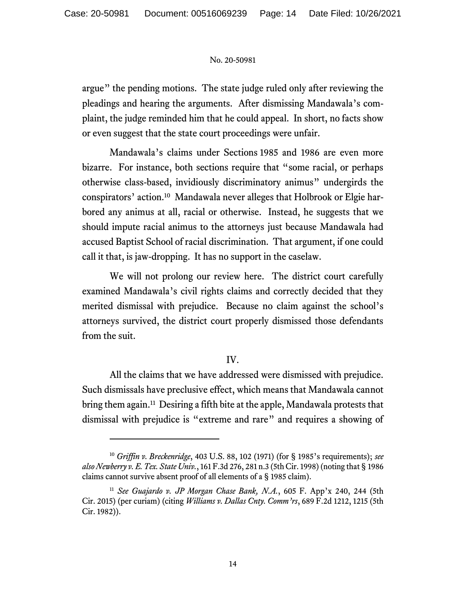argue" the pending motions. The state judge ruled only after reviewing the pleadings and hearing the arguments. After dismissing Mandawala's complaint, the judge reminded him that he could appeal. In short, no facts show or even suggest that the state court proceedings were unfair.

Mandawala's claims under Sections 1985 and 1986 are even more bizarre. For instance, both sections require that "some racial, or perhaps otherwise class-based, invidiously discriminatory animus" undergirds the conspirators' action.<sup>10</sup> Mandawala never alleges that Holbrook or Elgie harbored any animus at all, racial or otherwise. Instead, he suggests that we should impute racial animus to the attorneys just because Mandawala had accused Baptist School of racial discrimination. That argument, if one could call it that, is jaw-dropping. It has no support in the caselaw.

We will not prolong our review here. The district court carefully examined Mandawala's civil rights claims and correctly decided that they merited dismissal with prejudice. Because no claim against the school's attorneys survived, the district court properly dismissed those defendants from the suit.

# IV.

All the claims that we have addressed were dismissed with prejudice. Such dismissals have preclusive effect, which means that Mandawala cannot bring them again.<sup>11</sup> Desiring a fifth bite at the apple, Mandawala protests that dismissal with prejudice is "extreme and rare" and requires a showing of

<sup>10</sup> *Griffin v. Breckenridge*, 403 U.S. 88, 102 (1971) (for § 1985's requirements); *see also Newberry v. E. Tex. State Univ.*, 161 F.3d 276, 281 n.3 (5th Cir. 1998) (noting that § 1986 claims cannot survive absent proof of all elements of a § 1985 claim).

<sup>11</sup> *See Guajardo v. JP Morgan Chase Bank, N.A.*, 605 F. App'x 240, 244 (5th Cir. 2015) (per curiam) (citing *Williams v. Dallas Cnty. Comm'rs*, 689 F.2d 1212, 1215 (5th Cir. 1982)).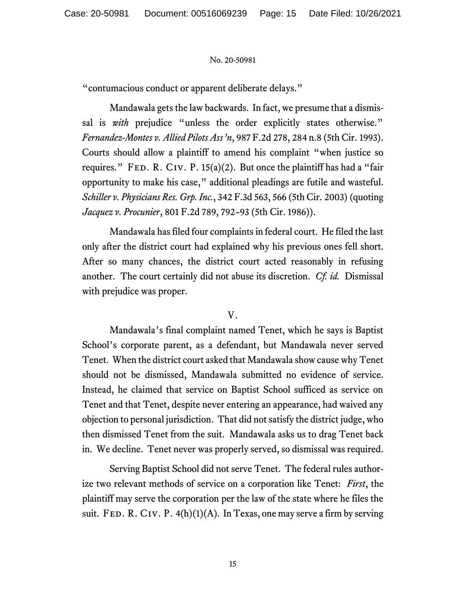"contumacious conduct or apparent deliberate delays."

Mandawala gets the law backwards. In fact, we presume that a dismissal is *with* prejudice "unless the order explicitly states otherwise." *Fernandez-Montes v. Allied Pilots Ass'n*, 987 F.2d 278, 284 n.8 (5th Cir. 1993). Courts should allow a plaintiff to amend his complaint "when justice so requires." FED. R. CIV. P.  $15(a)(2)$ . But once the plaintiff has had a "fair opportunity to make his case," additional pleadings are futile and wasteful. *Schiller v. Physicians Res. Grp. Inc.*, 342 F.3d 563, 566 (5th Cir. 2003) (quoting *Jacquez v. Procunier*, 801 F.2d 789, 792–93 (5th Cir. 1986)).

Mandawala has filed four complaints in federal court. He filed the last only after the district court had explained why his previous ones fell short. After so many chances, the district court acted reasonably in refusing another. The court certainly did not abuse its discretion. *Cf. id.* Dismissal with prejudice was proper.

## V.

Mandawala's final complaint named Tenet, which he says is Baptist School's corporate parent, as a defendant, but Mandawala never served Tenet. When the district court asked that Mandawala show cause why Tenet should not be dismissed, Mandawala submitted no evidence of service. Instead, he claimed that service on Baptist School sufficed as service on Tenet and that Tenet, despite never entering an appearance, had waived any objection to personal jurisdiction. That did not satisfy the district judge, who then dismissed Tenet from the suit. Mandawala asks us to drag Tenet back in. We decline. Tenet never was properly served, so dismissal was required.

Serving Baptist School did not serve Tenet. The federal rules authorize two relevant methods of service on a corporation like Tenet: *First*, the plaintiff may serve the corporation per the law of the state where he files the suit. FED. R. CIV. P.  $4(h)(1)(A)$ . In Texas, one may serve a firm by serving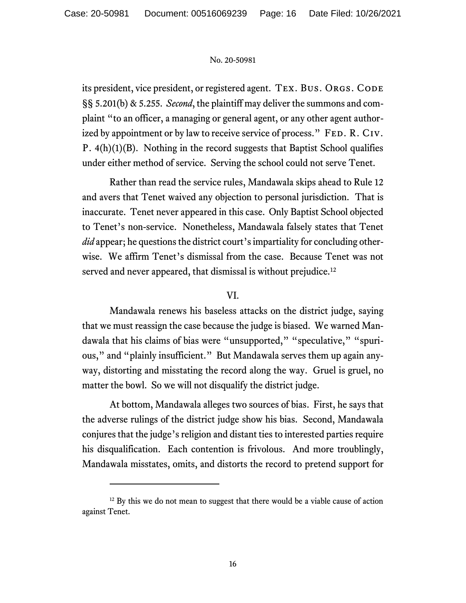its president, vice president, or registered agent. TEX. BUS. ORGS. CODE §§ 5.201(b) & 5.255. *Second*, the plaintiff may deliver the summons and complaint "to an officer, a managing or general agent, or any other agent authorized by appointment or by law to receive service of process." FED. R. CIV. P. 4(h)(1)(B). Nothing in the record suggests that Baptist School qualifies under either method of service. Serving the school could not serve Tenet.

Rather than read the service rules, Mandawala skips ahead to Rule 12 and avers that Tenet waived any objection to personal jurisdiction. That is inaccurate. Tenet never appeared in this case. Only Baptist School objected to Tenet's non-service. Nonetheless, Mandawala falsely states that Tenet *did* appear; he questions the district court's impartiality for concluding otherwise. We affirm Tenet's dismissal from the case. Because Tenet was not served and never appeared, that dismissal is without prejudice.<sup>12</sup>

## VI.

Mandawala renews his baseless attacks on the district judge, saying that we must reassign the case because the judge is biased. We warned Mandawala that his claims of bias were "unsupported," "speculative," "spurious," and "plainly insufficient." But Mandawala serves them up again anyway, distorting and misstating the record along the way. Gruel is gruel, no matter the bowl. So we will not disqualify the district judge.

At bottom, Mandawala alleges two sources of bias. First, he says that the adverse rulings of the district judge show his bias. Second, Mandawala conjures that the judge's religion and distant ties to interested parties require his disqualification. Each contention is frivolous. And more troublingly, Mandawala misstates, omits, and distorts the record to pretend support for

<sup>&</sup>lt;sup>12</sup> By this we do not mean to suggest that there would be a viable cause of action against Tenet.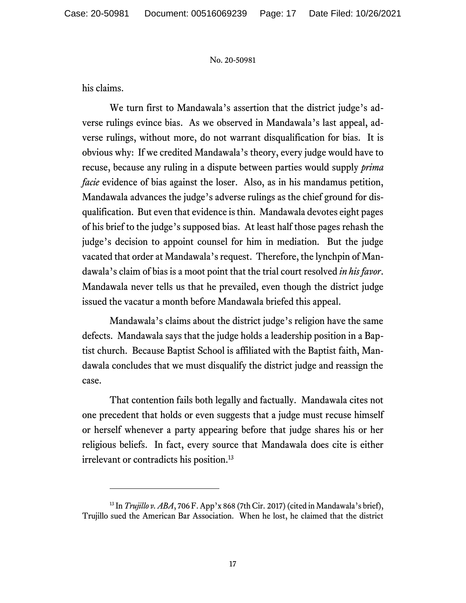his claims.

We turn first to Mandawala's assertion that the district judge's adverse rulings evince bias. As we observed in Mandawala's last appeal, adverse rulings, without more, do not warrant disqualification for bias. It is obvious why: If we credited Mandawala's theory, every judge would have to recuse, because any ruling in a dispute between parties would supply *prima facie* evidence of bias against the loser. Also, as in his mandamus petition, Mandawala advances the judge's adverse rulings as the chief ground for disqualification. But even that evidence is thin. Mandawala devotes eight pages of his brief to the judge's supposed bias. At least half those pages rehash the judge's decision to appoint counsel for him in mediation. But the judge vacated that order at Mandawala's request. Therefore, the lynchpin of Mandawala's claim of bias is a moot point that the trial court resolved *in his favor*. Mandawala never tells us that he prevailed, even though the district judge issued the vacatur a month before Mandawala briefed this appeal.

Mandawala's claims about the district judge's religion have the same defects. Mandawala says that the judge holds a leadership position in a Baptist church. Because Baptist School is affiliated with the Baptist faith, Mandawala concludes that we must disqualify the district judge and reassign the case.

That contention fails both legally and factually. Mandawala cites not one precedent that holds or even suggests that a judge must recuse himself or herself whenever a party appearing before that judge shares his or her religious beliefs. In fact, every source that Mandawala does cite is either irrelevant or contradicts his position. 13

<sup>&</sup>lt;sup>13</sup> In *Trujillo v. ABA*, 706 F. App'x 868 (7th Cir. 2017) (cited in Mandawala's brief), Trujillo sued the American Bar Association. When he lost, he claimed that the district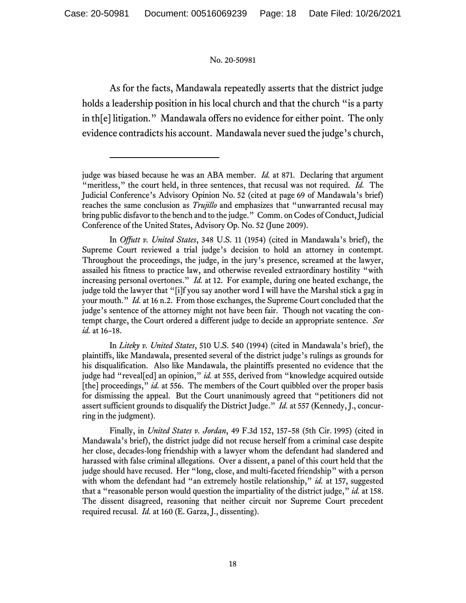As for the facts, Mandawala repeatedly asserts that the district judge holds a leadership position in his local church and that the church "is a party in th[e] litigation." Mandawala offers no evidence for either point. The only evidence contradicts his account. Mandawala never sued the judge's church,

In *Liteky v. United States*, 510 U.S. 540 (1994) (cited in Mandawala's brief), the plaintiffs, like Mandawala, presented several of the district judge's rulings as grounds for his disqualification. Also like Mandawala, the plaintiffs presented no evidence that the judge had "reveal[ed] an opinion," *id.* at 555, derived from "knowledge acquired outside [the] proceedings," *id.* at 556. The members of the Court quibbled over the proper basis for dismissing the appeal. But the Court unanimously agreed that "petitioners did not assert sufficient grounds to disqualify the District Judge." *Id.* at 557 (Kennedy, J., concurring in the judgment).

Finally, in *United States v. Jordan*, 49 F.3d 152, 157–58 (5th Cir. 1995) (cited in Mandawala's brief), the district judge did not recuse herself from a criminal case despite her close, decades-long friendship with a lawyer whom the defendant had slandered and harassed with false criminal allegations. Over a dissent, a panel of this court held that the judge should have recused. Her "long, close, and multi-faceted friendship" with a person with whom the defendant had "an extremely hostile relationship," *id.* at 157, suggested that a "reasonable person would question the impartiality of the district judge," *id.* at 158. The dissent disagreed, reasoning that neither circuit nor Supreme Court precedent required recusal. *Id.* at 160 (E. Garza, J., dissenting).

judge was biased because he was an ABA member. *Id.* at 871. Declaring that argument "meritless," the court held, in three sentences, that recusal was not required. *Id.* The Judicial Conference's Advisory Opinion No. 52 (cited at page 69 of Mandawala's brief) reaches the same conclusion as *Trujillo* and emphasizes that "unwarranted recusal may bring public disfavor to the bench and to the judge." Comm. on Codes of Conduct, Judicial Conference of the United States, Advisory Op. No. 52 (June 2009).

In *Offutt v. United States*, 348 U.S. 11 (1954) (cited in Mandawala's brief), the Supreme Court reviewed a trial judge's decision to hold an attorney in contempt. Throughout the proceedings, the judge, in the jury's presence, screamed at the lawyer, assailed his fitness to practice law, and otherwise revealed extraordinary hostility "with increasing personal overtones." *Id.* at 12. For example, during one heated exchange, the judge told the lawyer that "[i]f you say another word I will have the Marshal stick a gag in your mouth." *Id.* at 16 n.2. From those exchanges, the Supreme Court concluded that the judge's sentence of the attorney might not have been fair. Though not vacating the contempt charge, the Court ordered a different judge to decide an appropriate sentence. *See id.* at 16–18.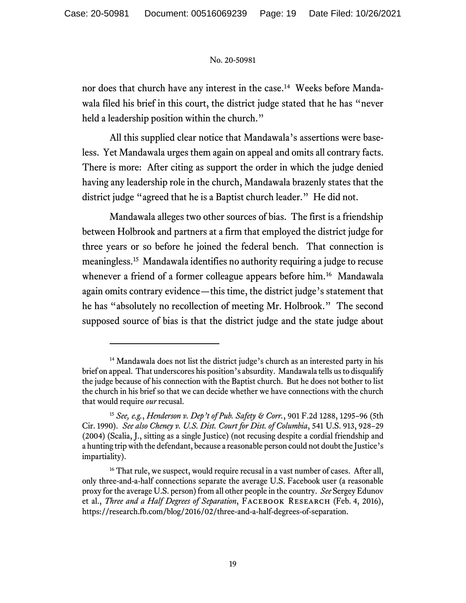nor does that church have any interest in the case.<sup>14</sup> Weeks before Mandawala filed his brief in this court, the district judge stated that he has "never held a leadership position within the church."

All this supplied clear notice that Mandawala's assertions were baseless. Yet Mandawala urges them again on appeal and omits all contrary facts. There is more: After citing as support the order in which the judge denied having any leadership role in the church, Mandawala brazenly states that the district judge "agreed that he is a Baptist church leader." He did not.

Mandawala alleges two other sources of bias. The first is a friendship between Holbrook and partners at a firm that employed the district judge for three years or so before he joined the federal bench. That connection is meaningless.<sup>15</sup> Mandawala identifies no authority requiring a judge to recuse whenever a friend of a former colleague appears before him.<sup>16</sup> Mandawala again omits contrary evidence—this time, the district judge's statement that he has "absolutely no recollection of meeting Mr. Holbrook." The second supposed source of bias is that the district judge and the state judge about

<sup>&</sup>lt;sup>14</sup> Mandawala does not list the district judge's church as an interested party in his brief on appeal. That underscores his position's absurdity. Mandawala tells us to disqualify the judge because of his connection with the Baptist church. But he does not bother to list the church in his brief so that we can decide whether we have connections with the church that would require *our* recusal.

<sup>15</sup> *See, e.g.*, *Henderson v. Dep't of Pub. Safety & Corr.*, 901 F.2d 1288, 1295–96 (5th Cir. 1990). *See also Cheney v. U.S. Dist. Court for Dist. of Columbia*, 541 U.S. 913, 928–29 (2004) (Scalia, J., sitting as a single Justice) (not recusing despite a cordial friendship and a hunting trip with the defendant, because a reasonable person could not doubt the Justice's impartiality).

<sup>&</sup>lt;sup>16</sup> That rule, we suspect, would require recusal in a vast number of cases. After all, only three-and-a-half connections separate the average U.S. Facebook user (a reasonable proxy for the average U.S. person) from all other people in the country. *See* Sergey Edunov et al., *Three and a Half Degrees of Separation*, FACEBOOK RESEARCH (Feb. 4, 2016), https://research.fb.com/blog/2016/02/three-and-a-half-degrees-of-separation.